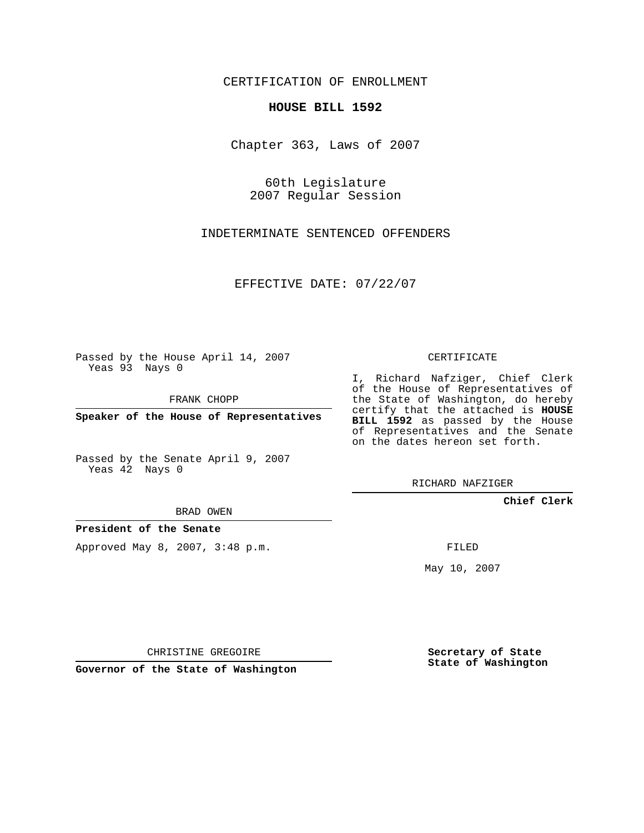CERTIFICATION OF ENROLLMENT

## **HOUSE BILL 1592**

Chapter 363, Laws of 2007

60th Legislature 2007 Regular Session

INDETERMINATE SENTENCED OFFENDERS

EFFECTIVE DATE: 07/22/07

Passed by the House April 14, 2007 Yeas 93 Nays 0

FRANK CHOPP

**Speaker of the House of Representatives**

Passed by the Senate April 9, 2007 Yeas 42 Nays 0

BRAD OWEN

**President of the Senate**

Approved May 8, 2007, 3:48 p.m.

CERTIFICATE

I, Richard Nafziger, Chief Clerk of the House of Representatives of the State of Washington, do hereby certify that the attached is **HOUSE BILL 1592** as passed by the House of Representatives and the Senate on the dates hereon set forth.

RICHARD NAFZIGER

**Chief Clerk**

FILED

May 10, 2007

**Governor of the State of Washington**

CHRISTINE GREGOIRE

**Secretary of State State of Washington**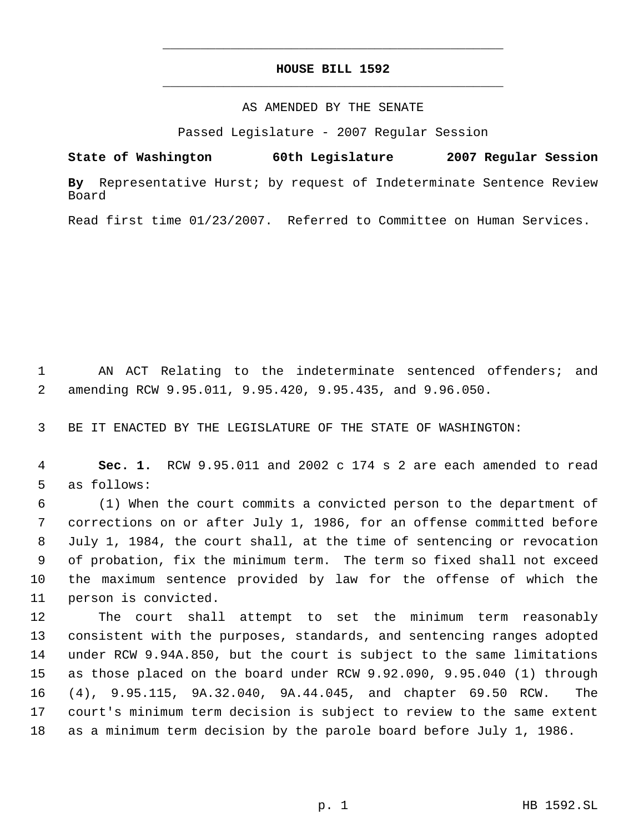## **HOUSE BILL 1592** \_\_\_\_\_\_\_\_\_\_\_\_\_\_\_\_\_\_\_\_\_\_\_\_\_\_\_\_\_\_\_\_\_\_\_\_\_\_\_\_\_\_\_\_\_

\_\_\_\_\_\_\_\_\_\_\_\_\_\_\_\_\_\_\_\_\_\_\_\_\_\_\_\_\_\_\_\_\_\_\_\_\_\_\_\_\_\_\_\_\_

## AS AMENDED BY THE SENATE

Passed Legislature - 2007 Regular Session

**State of Washington 60th Legislature 2007 Regular Session**

**By** Representative Hurst; by request of Indeterminate Sentence Review Board

Read first time 01/23/2007. Referred to Committee on Human Services.

 AN ACT Relating to the indeterminate sentenced offenders; and amending RCW 9.95.011, 9.95.420, 9.95.435, and 9.96.050.

BE IT ENACTED BY THE LEGISLATURE OF THE STATE OF WASHINGTON:

 **Sec. 1.** RCW 9.95.011 and 2002 c 174 s 2 are each amended to read as follows:

 (1) When the court commits a convicted person to the department of corrections on or after July 1, 1986, for an offense committed before July 1, 1984, the court shall, at the time of sentencing or revocation of probation, fix the minimum term. The term so fixed shall not exceed the maximum sentence provided by law for the offense of which the person is convicted.

 The court shall attempt to set the minimum term reasonably consistent with the purposes, standards, and sentencing ranges adopted under RCW 9.94A.850, but the court is subject to the same limitations as those placed on the board under RCW 9.92.090, 9.95.040 (1) through (4), 9.95.115, 9A.32.040, 9A.44.045, and chapter 69.50 RCW. The court's minimum term decision is subject to review to the same extent as a minimum term decision by the parole board before July 1, 1986.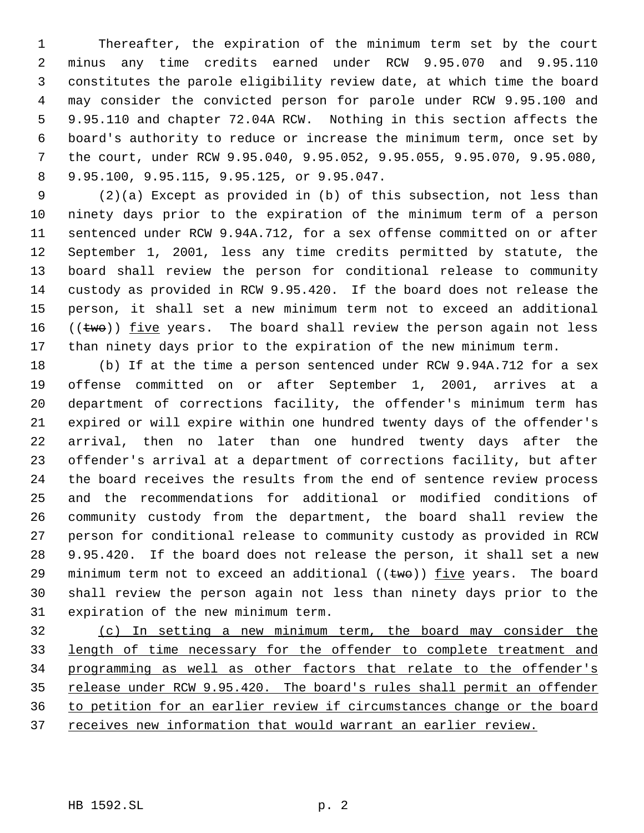Thereafter, the expiration of the minimum term set by the court minus any time credits earned under RCW 9.95.070 and 9.95.110 constitutes the parole eligibility review date, at which time the board may consider the convicted person for parole under RCW 9.95.100 and 9.95.110 and chapter 72.04A RCW. Nothing in this section affects the board's authority to reduce or increase the minimum term, once set by the court, under RCW 9.95.040, 9.95.052, 9.95.055, 9.95.070, 9.95.080, 9.95.100, 9.95.115, 9.95.125, or 9.95.047.

 (2)(a) Except as provided in (b) of this subsection, not less than ninety days prior to the expiration of the minimum term of a person sentenced under RCW 9.94A.712, for a sex offense committed on or after September 1, 2001, less any time credits permitted by statute, the board shall review the person for conditional release to community custody as provided in RCW 9.95.420. If the board does not release the person, it shall set a new minimum term not to exceed an additional  $((two))$  five years. The board shall review the person again not less than ninety days prior to the expiration of the new minimum term.

 (b) If at the time a person sentenced under RCW 9.94A.712 for a sex offense committed on or after September 1, 2001, arrives at a department of corrections facility, the offender's minimum term has expired or will expire within one hundred twenty days of the offender's arrival, then no later than one hundred twenty days after the offender's arrival at a department of corrections facility, but after the board receives the results from the end of sentence review process and the recommendations for additional or modified conditions of community custody from the department, the board shall review the person for conditional release to community custody as provided in RCW 9.95.420. If the board does not release the person, it shall set a new 29 minimum term not to exceed an additional  $((\text{two}))$  five years. The board shall review the person again not less than ninety days prior to the expiration of the new minimum term.

 (c) In setting a new minimum term, the board may consider the length of time necessary for the offender to complete treatment and programming as well as other factors that relate to the offender's 35 release under RCW 9.95.420. The board's rules shall permit an offender to petition for an earlier review if circumstances change or the board 37 receives new information that would warrant an earlier review.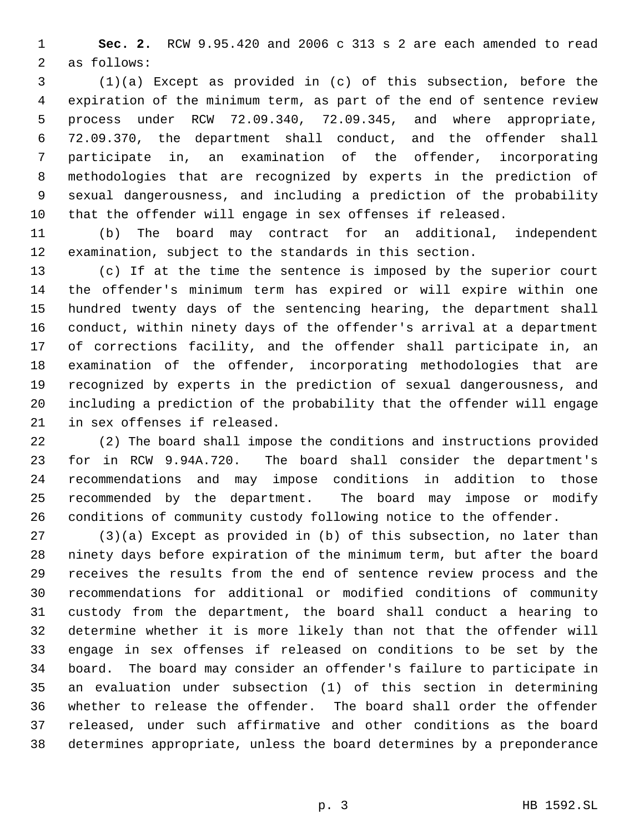**Sec. 2.** RCW 9.95.420 and 2006 c 313 s 2 are each amended to read as follows:

 (1)(a) Except as provided in (c) of this subsection, before the expiration of the minimum term, as part of the end of sentence review process under RCW 72.09.340, 72.09.345, and where appropriate, 72.09.370, the department shall conduct, and the offender shall participate in, an examination of the offender, incorporating methodologies that are recognized by experts in the prediction of sexual dangerousness, and including a prediction of the probability that the offender will engage in sex offenses if released.

 (b) The board may contract for an additional, independent examination, subject to the standards in this section.

 (c) If at the time the sentence is imposed by the superior court the offender's minimum term has expired or will expire within one hundred twenty days of the sentencing hearing, the department shall conduct, within ninety days of the offender's arrival at a department of corrections facility, and the offender shall participate in, an examination of the offender, incorporating methodologies that are recognized by experts in the prediction of sexual dangerousness, and including a prediction of the probability that the offender will engage in sex offenses if released.

 (2) The board shall impose the conditions and instructions provided for in RCW 9.94A.720. The board shall consider the department's recommendations and may impose conditions in addition to those recommended by the department. The board may impose or modify conditions of community custody following notice to the offender.

 (3)(a) Except as provided in (b) of this subsection, no later than ninety days before expiration of the minimum term, but after the board receives the results from the end of sentence review process and the recommendations for additional or modified conditions of community custody from the department, the board shall conduct a hearing to determine whether it is more likely than not that the offender will engage in sex offenses if released on conditions to be set by the board. The board may consider an offender's failure to participate in an evaluation under subsection (1) of this section in determining whether to release the offender. The board shall order the offender released, under such affirmative and other conditions as the board determines appropriate, unless the board determines by a preponderance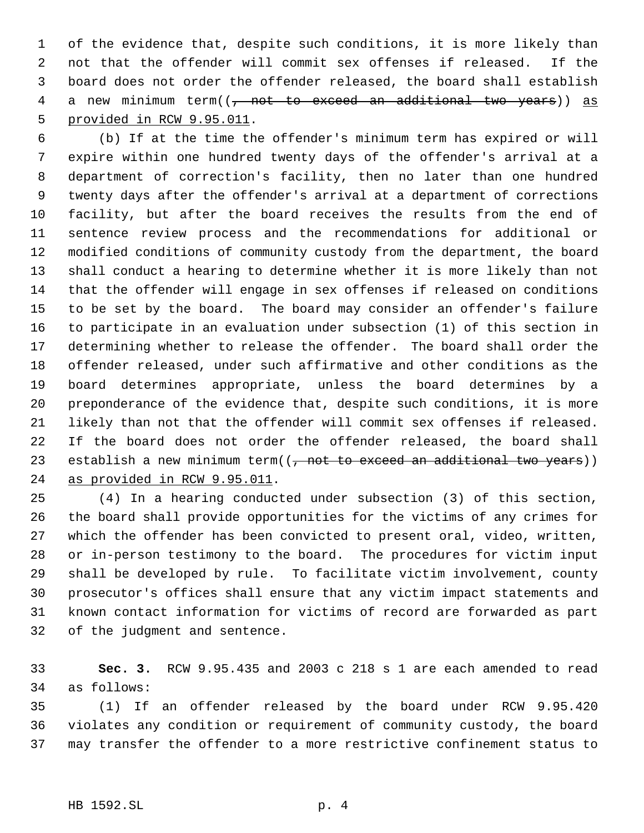of the evidence that, despite such conditions, it is more likely than not that the offender will commit sex offenses if released. If the board does not order the offender released, the board shall establish 4 a new minimum term((<del>, not to exceed an additional two years</del>)) as provided in RCW 9.95.011.

 (b) If at the time the offender's minimum term has expired or will expire within one hundred twenty days of the offender's arrival at a department of correction's facility, then no later than one hundred twenty days after the offender's arrival at a department of corrections facility, but after the board receives the results from the end of sentence review process and the recommendations for additional or modified conditions of community custody from the department, the board shall conduct a hearing to determine whether it is more likely than not that the offender will engage in sex offenses if released on conditions to be set by the board. The board may consider an offender's failure to participate in an evaluation under subsection (1) of this section in determining whether to release the offender. The board shall order the offender released, under such affirmative and other conditions as the board determines appropriate, unless the board determines by a preponderance of the evidence that, despite such conditions, it is more likely than not that the offender will commit sex offenses if released. If the board does not order the offender released, the board shall 23 establish a new minimum term((, not to exceed an additional two years)) as provided in RCW 9.95.011.

 (4) In a hearing conducted under subsection (3) of this section, the board shall provide opportunities for the victims of any crimes for which the offender has been convicted to present oral, video, written, or in-person testimony to the board. The procedures for victim input shall be developed by rule. To facilitate victim involvement, county prosecutor's offices shall ensure that any victim impact statements and known contact information for victims of record are forwarded as part of the judgment and sentence.

 **Sec. 3.** RCW 9.95.435 and 2003 c 218 s 1 are each amended to read as follows:

 (1) If an offender released by the board under RCW 9.95.420 violates any condition or requirement of community custody, the board may transfer the offender to a more restrictive confinement status to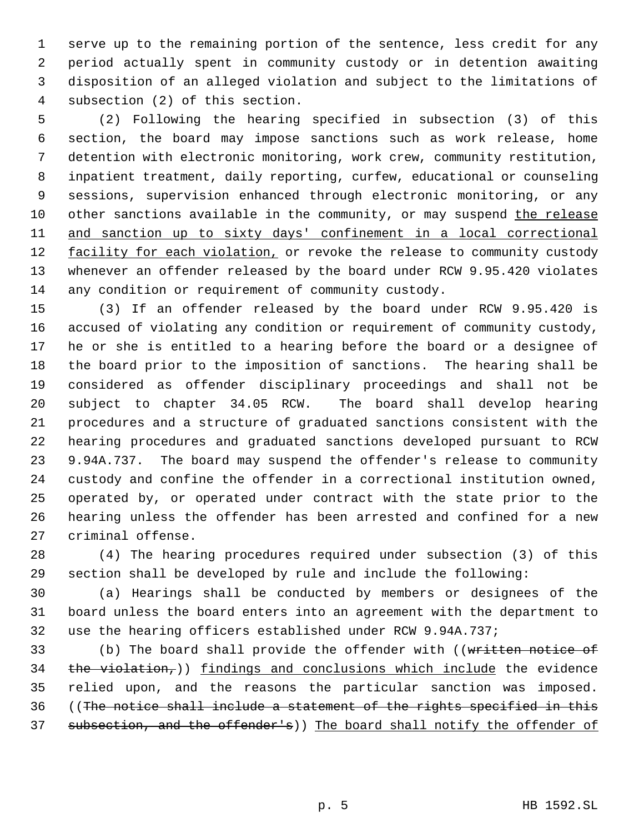serve up to the remaining portion of the sentence, less credit for any period actually spent in community custody or in detention awaiting disposition of an alleged violation and subject to the limitations of subsection (2) of this section.

 (2) Following the hearing specified in subsection (3) of this section, the board may impose sanctions such as work release, home detention with electronic monitoring, work crew, community restitution, inpatient treatment, daily reporting, curfew, educational or counseling sessions, supervision enhanced through electronic monitoring, or any 10 other sanctions available in the community, or may suspend the release and sanction up to sixty days' confinement in a local correctional 12 facility for each violation, or revoke the release to community custody whenever an offender released by the board under RCW 9.95.420 violates any condition or requirement of community custody.

 (3) If an offender released by the board under RCW 9.95.420 is accused of violating any condition or requirement of community custody, he or she is entitled to a hearing before the board or a designee of the board prior to the imposition of sanctions. The hearing shall be considered as offender disciplinary proceedings and shall not be subject to chapter 34.05 RCW. The board shall develop hearing procedures and a structure of graduated sanctions consistent with the hearing procedures and graduated sanctions developed pursuant to RCW 9.94A.737. The board may suspend the offender's release to community custody and confine the offender in a correctional institution owned, operated by, or operated under contract with the state prior to the hearing unless the offender has been arrested and confined for a new criminal offense.

 (4) The hearing procedures required under subsection (3) of this section shall be developed by rule and include the following:

 (a) Hearings shall be conducted by members or designees of the board unless the board enters into an agreement with the department to use the hearing officers established under RCW 9.94A.737;

33 (b) The board shall provide the offender with ((written notice of 34  $the violation$ ,)) findings and conclusions which include the evidence relied upon, and the reasons the particular sanction was imposed. ((The notice shall include a statement of the rights specified in this 37 subsection, and the offender's)) The board shall notify the offender of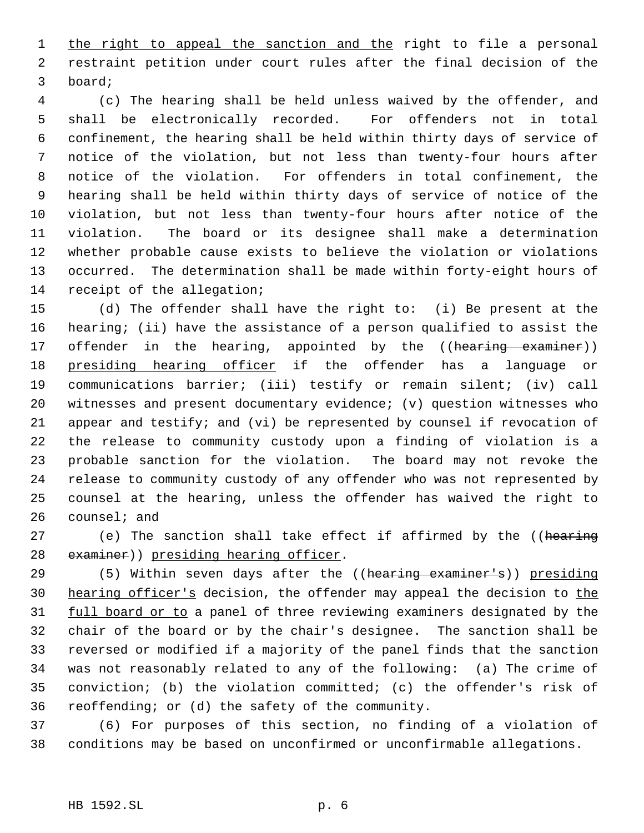1 the right to appeal the sanction and the right to file a personal restraint petition under court rules after the final decision of the board;

 (c) The hearing shall be held unless waived by the offender, and shall be electronically recorded. For offenders not in total confinement, the hearing shall be held within thirty days of service of notice of the violation, but not less than twenty-four hours after notice of the violation. For offenders in total confinement, the hearing shall be held within thirty days of service of notice of the violation, but not less than twenty-four hours after notice of the violation. The board or its designee shall make a determination whether probable cause exists to believe the violation or violations occurred. The determination shall be made within forty-eight hours of receipt of the allegation;

 (d) The offender shall have the right to: (i) Be present at the hearing; (ii) have the assistance of a person qualified to assist the 17 offender in the hearing, appointed by the ((hearing examiner)) 18 presiding hearing officer if the offender has a language or communications barrier; (iii) testify or remain silent; (iv) call witnesses and present documentary evidence; (v) question witnesses who appear and testify; and (vi) be represented by counsel if revocation of the release to community custody upon a finding of violation is a probable sanction for the violation. The board may not revoke the release to community custody of any offender who was not represented by counsel at the hearing, unless the offender has waived the right to counsel; and

27 (e) The sanction shall take effect if affirmed by the ((hearing 28 examiner)) presiding hearing officer.

29 (5) Within seven days after the ((hearing examiner's)) presiding 30 hearing officer's decision, the offender may appeal the decision to the 31 full board or to a panel of three reviewing examiners designated by the chair of the board or by the chair's designee. The sanction shall be reversed or modified if a majority of the panel finds that the sanction was not reasonably related to any of the following: (a) The crime of conviction; (b) the violation committed; (c) the offender's risk of reoffending; or (d) the safety of the community.

 (6) For purposes of this section, no finding of a violation of conditions may be based on unconfirmed or unconfirmable allegations.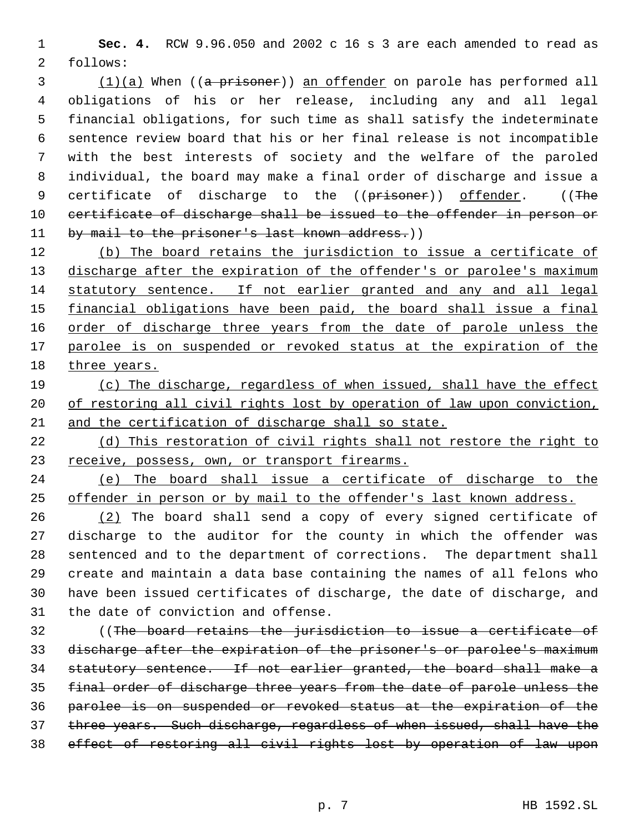**Sec. 4.** RCW 9.96.050 and 2002 c 16 s 3 are each amended to read as follows:

3 (1)(a) When ((a prisoner)) an offender on parole has performed all obligations of his or her release, including any and all legal financial obligations, for such time as shall satisfy the indeterminate sentence review board that his or her final release is not incompatible with the best interests of society and the welfare of the paroled individual, the board may make a final order of discharge and issue a 9 certificate of discharge to the ((prisoner)) offender. ((The 10 certificate of discharge shall be issued to the offender in person or 11 by mail to the prisoner's last known address.))

12 (b) The board retains the jurisdiction to issue a certificate of 13 discharge after the expiration of the offender's or parolee's maximum statutory sentence. If not earlier granted and any and all legal 15 financial obligations have been paid, the board shall issue a final 16 order of discharge three years from the date of parole unless the 17 parolee is on suspended or revoked status at the expiration of the 18 three years.

 (c) The discharge, regardless of when issued, shall have the effect 20 of restoring all civil rights lost by operation of law upon conviction, and the certification of discharge shall so state.

 (d) This restoration of civil rights shall not restore the right to 23 receive, possess, own, or transport firearms.

 (e) The board shall issue a certificate of discharge to the offender in person or by mail to the offender's last known address.

 (2) The board shall send a copy of every signed certificate of discharge to the auditor for the county in which the offender was sentenced and to the department of corrections. The department shall create and maintain a data base containing the names of all felons who have been issued certificates of discharge, the date of discharge, and the date of conviction and offense.

 ((The board retains the jurisdiction to issue a certificate of discharge after the expiration of the prisoner's or parolee's maximum statutory sentence. If not earlier granted, the board shall make a final order of discharge three years from the date of parole unless the parolee is on suspended or revoked status at the expiration of the three years. Such discharge, regardless of when issued, shall have the effect of restoring all civil rights lost by operation of law upon